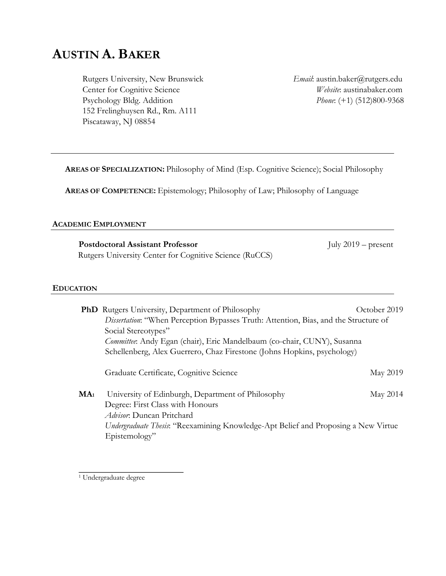# **AUSTIN A. BAKER**

Rutgers University, New Brunswick Center for Cognitive Science Psychology Bldg. Addition 152 Frelinghuysen Rd., Rm. A111 Piscataway, NJ 08854

*Email*: austin.baker@rutgers.edu *Website*: austinabaker.com *Phone*: (+1) (512)800-9368

**AREAS OF SPECIALIZATION:** Philosophy of Mind (Esp. Cognitive Science); Social Philosophy

**AREAS OF COMPETENCE:** Epistemology; Philosophy of Law; Philosophy of Language

## **ACADEMIC EMPLOYMENT**

**Postdoctoral Assistant Professor** July 2019 – present Rutgers University Center for Cognitive Science (RuCCS)

#### **EDUCATION**

|                 | <b>PhD</b> Rutgers University, Department of Philosophy                               | October 2019    |  |
|-----------------|---------------------------------------------------------------------------------------|-----------------|--|
|                 | Dissertation: "When Perception Bypasses Truth: Attention, Bias, and the Structure of  |                 |  |
|                 | Social Stereotypes"                                                                   |                 |  |
|                 | <i>Committee</i> : Andy Egan (chair), Eric Mandelbaum (co-chair, CUNY), Susanna       |                 |  |
|                 | Schellenberg, Alex Guerrero, Chaz Firestone (Johns Hopkins, psychology)               |                 |  |
|                 | Graduate Certificate, Cognitive Science                                               | <b>May 2019</b> |  |
| MA <sub>1</sub> | University of Edinburgh, Department of Philosophy<br>Degree: First Class with Honours | May 2014        |  |
|                 | <i>Advisor</i> : Duncan Pritchard                                                     |                 |  |
|                 | Undergraduate Thesis: "Reexamining Knowledge-Apt Belief and Proposing a New Virtue    |                 |  |
|                 | Epistemology"                                                                         |                 |  |

<sup>&</sup>lt;sup>1</sup> Undergraduate degree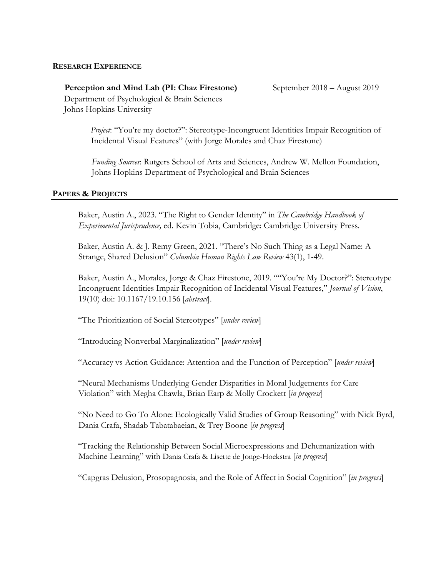**Perception and Mind Lab (PI: Chaz Firestone)** September 2018 – August 2019 Department of Psychological & Brain Sciences Johns Hopkins University

*Project*: "You're my doctor?": Stereotype-Incongruent Identities Impair Recognition of Incidental Visual Features" (with Jorge Morales and Chaz Firestone)

*Funding Sources*: Rutgers School of Arts and Sciences, Andrew W. Mellon Foundation, Johns Hopkins Department of Psychological and Brain Sciences

## **PAPERS & PROJECTS**

Baker, Austin A., 2023. "The Right to Gender Identity" in *The Cambridge Handbook of Experimental Jurisprudence,* ed. Kevin Tobia, Cambridge: Cambridge University Press.

Baker, Austin A. & J. Remy Green, 2021. "There's No Such Thing as a Legal Name: A Strange, Shared Delusion" *Columbia Human Rights Law Review* 43(1), 1-49.

Baker, Austin A., Morales, Jorge & Chaz Firestone, 2019. ""You're My Doctor?": Stereotype Incongruent Identities Impair Recognition of Incidental Visual Features," *Journal of Vision*, 19(10) doi: 10.1167/19.10.156 [*abstract*].

"The Prioritization of Social Stereotypes" [*under review*]

"Introducing Nonverbal Marginalization" [*under review*]

"Accuracy vs Action Guidance: Attention and the Function of Perception" [*under review*]

"Neural Mechanisms Underlying Gender Disparities in Moral Judgements for Care Violation" with Megha Chawla, Brian Earp & Molly Crockett [*in progress*]

"No Need to Go To Alone: Ecologically Valid Studies of Group Reasoning" with Nick Byrd, Dania Crafa, Shadab Tabatabaeian, & Trey Boone [*in progress*]

"Tracking the Relationship Between Social Microexpressions and Dehumanization with Machine Learning" with Dania Crafa & Lisette de Jonge-Hoekstra [*in progress*]

"Capgras Delusion, Prosopagnosia, and the Role of Affect in Social Cognition" [*in progress*]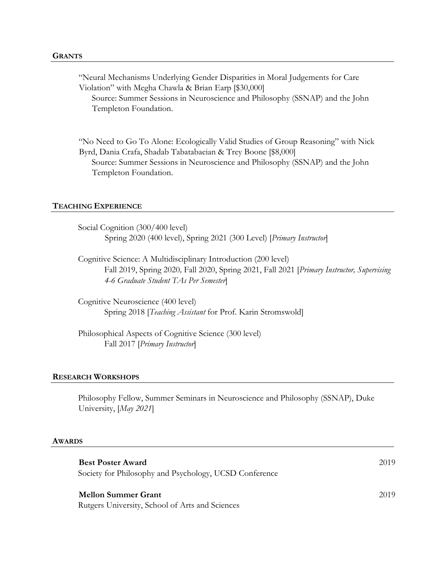"Neural Mechanisms Underlying Gender Disparities in Moral Judgements for Care Violation" with Megha Chawla & Brian Earp [\$30,000] Source: Summer Sessions in Neuroscience and Philosophy (SSNAP) and the John Templeton Foundation.

"No Need to Go To Alone: Ecologically Valid Studies of Group Reasoning" with Nick Byrd, Dania Crafa, Shadab Tabatabaeian & Trey Boone [\$8,000] Source: Summer Sessions in Neuroscience and Philosophy (SSNAP) and the John Templeton Foundation.

#### **TEACHING EXPERIENCE**

Social Cognition (300/400 level) Spring 2020 (400 level), Spring 2021 (300 Level) [*Primary Instructor*]

Cognitive Science: A Multidisciplinary Introduction (200 level) Fall 2019, Spring 2020*,* Fall 2020, Spring 2021, Fall 2021 [*Primary Instructor, Supervising 4-6 Graduate Student TAs Per Semester*]

Cognitive Neuroscience (400 level) Spring 2018 [*Teaching Assistant* for Prof. Karin Stromswold]

Philosophical Aspects of Cognitive Science (300 level) Fall 2017 [*Primary Instructor*]

#### **RESEARCH WORKSHOPS**

Philosophy Fellow, Summer Seminars in Neuroscience and Philosophy (SSNAP), Duke University, [*May 2021*]

#### **AWARDS**

| <b>Best Poster Award</b><br>Society for Philosophy and Psychology, UCSD Conference | 2019 |
|------------------------------------------------------------------------------------|------|
| <b>Mellon Summer Grant</b><br>Rutgers University, School of Arts and Sciences      | 2019 |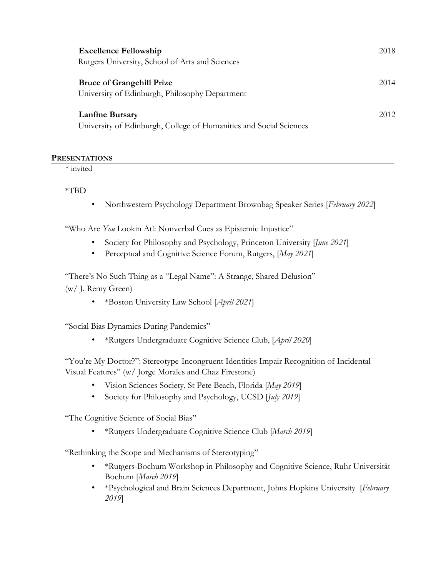| <b>Excellence Fellowship</b><br>2018                                                                 |  |
|------------------------------------------------------------------------------------------------------|--|
| Rutgers University, School of Arts and Sciences                                                      |  |
| <b>Bruce of Grangehill Prize</b><br>2014                                                             |  |
| University of Edinburgh, Philosophy Department                                                       |  |
| <b>Lanfine Bursary</b><br>2012<br>University of Edinburgh, College of Humanities and Social Sciences |  |

## **PRESENTATIONS**

\* invited

\*TBD

• Northwestern Psychology Department Brownbag Speaker Series [*February 2022*]

"Who Are *You* Lookin At!: Nonverbal Cues as Epistemic Injustice"

- Society for Philosophy and Psychology, Princeton University [*June 2021*]
- Perceptual and Cognitive Science Forum, Rutgers, [*May 2021*]

"There's No Such Thing as a "Legal Name": A Strange, Shared Delusion" (w/ J. Remy Green)

• \*Boston University Law School [*April 2021*]

"Social Bias Dynamics During Pandemics"

• \*Rutgers Undergraduate Cognitive Science Club, [*April 2020*]

"You're My Doctor?": Stereotype-Incongruent Identities Impair Recognition of Incidental Visual Features" (w/ Jorge Morales and Chaz Firestone)

- Vision Sciences Society, St Pete Beach, Florida [*May 2019*]
- Society for Philosophy and Psychology, UCSD [*July 2019*]

"The Cognitive Science of Social Bias"

• \*Rutgers Undergraduate Cognitive Science Club [*March 2019*]

"Rethinking the Scope and Mechanisms of Stereotyping"

- \*Rutgers-Bochum Workshop in Philosophy and Cognitive Science, Ruhr Universität Bochum [*March 2019*]
- \*Psychological and Brain Sciences Department, Johns Hopkins University [*February 2019*]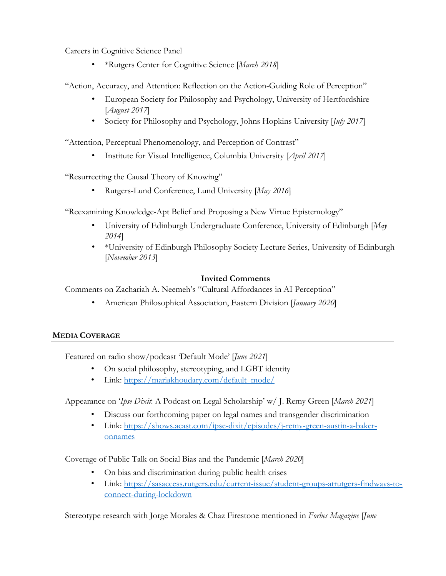Careers in Cognitive Science Panel

• \*Rutgers Center for Cognitive Science [*March 2018*]

"Action, Accuracy, and Attention: Reflection on the Action-Guiding Role of Perception"

- European Society for Philosophy and Psychology, University of Hertfordshire [*August 2017*]
- Society for Philosophy and Psychology, Johns Hopkins University [*July 2017*]

"Attention, Perceptual Phenomenology, and Perception of Contrast"

• Institute for Visual Intelligence, Columbia University [*April 2017*]

"Resurrecting the Causal Theory of Knowing"

• Rutgers-Lund Conference, Lund University [*May 2016*]

"Reexamining Knowledge-Apt Belief and Proposing a New Virtue Epistemology"

- University of Edinburgh Undergraduate Conference, University of Edinburgh [*May 2014*]
- \*University of Edinburgh Philosophy Society Lecture Series, University of Edinburgh [*November 2013*]

# **Invited Comments**

Comments on Zachariah A. Neemeh's "Cultural Affordances in AI Perception"

• American Philosophical Association, Eastern Division [*January 2020*]

# **MEDIA COVERAGE**

Featured on radio show/podcast 'Default Mode' [*June 2021*]

- On social philosophy, stereotyping, and LGBT identity
- Link: https://mariakhoudary.com/default\_mode/

Appearance on '*Ipse Dixit*: A Podcast on Legal Scholarship' w/ J. Remy Green [*March 2021*]

- Discuss our forthcoming paper on legal names and transgender discrimination
- Link: https://shows.acast.com/ipse-dixit/episodes/j-remy-green-austin-a-bakeronnames

Coverage of Public Talk on Social Bias and the Pandemic [*March 2020*]

- On bias and discrimination during public health crises
- Link: https://sasaccess.rutgers.edu/current-issue/student-groups-atrutgers-findways-toconnect-during-lockdown

Stereotype research with Jorge Morales & Chaz Firestone mentioned in *Forbes Magazine* [*June*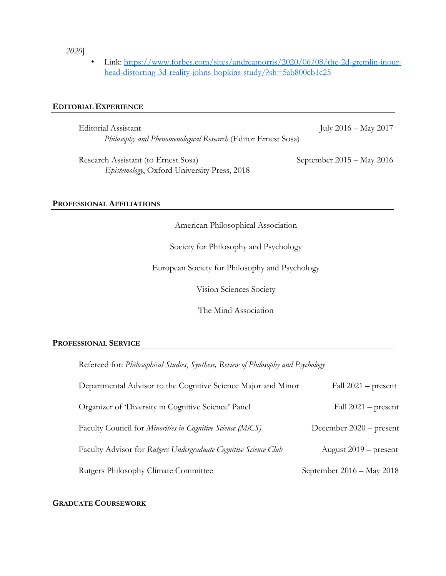*2020*]

• Link: https://www.forbes.com/sites/andreamorris/2020/06/08/the-2d-gremlin-inourhead-distorting-3d-reality-johns-hopkins-study/?sh=5ab800cb1c25

## **EDITORIAL EXPERIENCE**

| Editorial Assistant                                                  | July $2016 - May 2017$      |
|----------------------------------------------------------------------|-----------------------------|
| <i>Philosophy and Phenomenological Research</i> (Editor Ernest Sosa) |                             |
| Research Assistant (to Ernest Sosa)                                  | September $2015 -$ May 2016 |
| <i>Epistemology</i> , Oxford University Press, 2018                  |                             |

### **PROFESSIONAL AFFILIATIONS**

American Philosophical Association

Society for Philosophy and Psychology

European Society for Philosophy and Psychology

Vision Sciences Society

The Mind Association

### **PROFESSIONAL SERVICE**

Refereed for: *Philosophical Studies*, *Synthese, Review of Philosophy and Psychology* 

| Departmental Advisor to the Cognitive Science Major and Minor    | Fall $2021$ – present     |
|------------------------------------------------------------------|---------------------------|
| Organizer of 'Diversity in Cognitive Science' Panel              | Fall $2021$ – present     |
| Faculty Council for Minorities in Cognitive Science (MiCS)       | December $2020$ – present |
| Faculty Advisor for Rutgers Undergraduate Cognitive Science Club | August $2019$ – present   |
| Rutgers Philosophy Climate Committee                             | September 2016 - May 2018 |

## **GRADUATE COURSEWORK**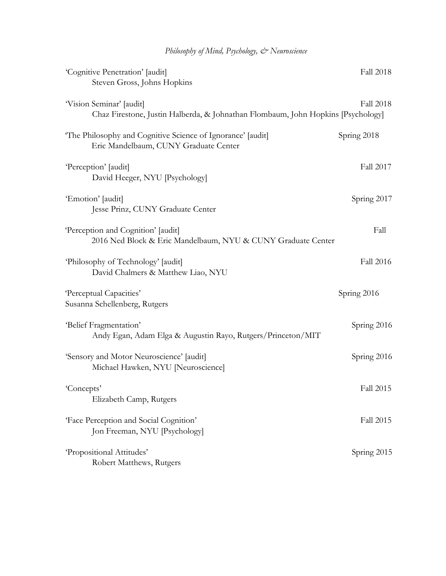| Philosophy of Mind, Psychology, & Neuroscience |  |  |
|------------------------------------------------|--|--|
|------------------------------------------------|--|--|

| 'Cognitive Penetration' [audit]                                                                              | <b>Fall 2018</b> |
|--------------------------------------------------------------------------------------------------------------|------------------|
| Steven Gross, Johns Hopkins                                                                                  |                  |
| 'Vision Seminar' [audit]<br>Chaz Firestone, Justin Halberda, & Johnathan Flombaum, John Hopkins [Psychology] | <b>Fall 2018</b> |
| The Philosophy and Cognitive Science of Ignorance' [audit]<br>Eric Mandelbaum, CUNY Graduate Center          | Spring 2018      |
| 'Perception' [audit]<br>David Heeger, NYU [Psychology]                                                       | Fall 2017        |
| 'Emotion' [audit]<br>Jesse Prinz, CUNY Graduate Center                                                       | Spring 2017      |
| 'Perception and Cognition' [audit]<br>2016 Ned Block & Eric Mandelbaum, NYU & CUNY Graduate Center           | Fall             |
| 'Philosophy of Technology' [audit]<br>David Chalmers & Matthew Liao, NYU                                     | <b>Fall 2016</b> |
| 'Perceptual Capacities'<br>Susanna Schellenberg, Rutgers                                                     | Spring 2016      |
| 'Belief Fragmentation'<br>Andy Egan, Adam Elga & Augustin Rayo, Rutgers/Princeton/MIT                        | Spring 2016      |
| 'Sensory and Motor Neuroscience' [audit]<br>Michael Hawken, NYU [Neuroscience]                               | Spring 2016      |
| 'Concepts'<br>Elizabeth Camp, Rutgers                                                                        | <b>Fall 2015</b> |
| 'Face Perception and Social Cognition'<br>Jon Freeman, NYU [Psychology]                                      | Fall 2015        |
| 'Propositional Attitudes'<br>Robert Matthews, Rutgers                                                        | Spring 2015      |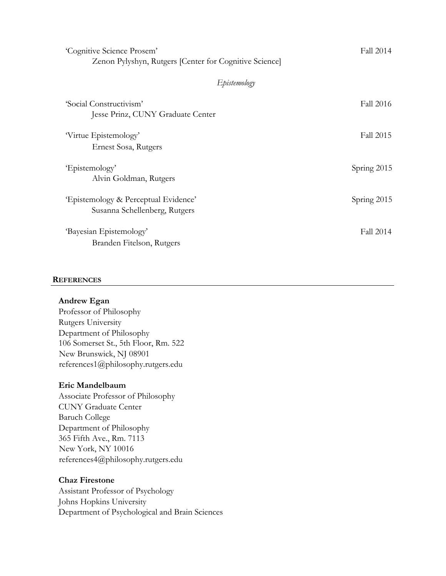| 'Cognitive Science Prosem'<br>Zenon Pylyshyn, Rutgers [Center for Cognitive Science] | Fall 2014   |
|--------------------------------------------------------------------------------------|-------------|
| Epistemology                                                                         |             |
| 'Social Constructivism'<br>Jesse Prinz, CUNY Graduate Center                         | Fall 2016   |
| Virtue Epistemology'<br>Ernest Sosa, Rutgers                                         | Fall 2015   |
| 'Epistemology'<br>Alvin Goldman, Rutgers                                             | Spring 2015 |
| 'Epistemology & Perceptual Evidence'<br>Susanna Schellenberg, Rutgers                | Spring 2015 |
| 'Bayesian Epistemology'<br>Branden Fitelson, Rutgers                                 | Fall 2014   |

#### **REFERENCES**

#### **Andrew Egan**

Professor of Philosophy Rutgers University Department of Philosophy 106 Somerset St., 5th Floor, Rm. 522 New Brunswick, NJ 08901 references1@philosophy.rutgers.edu

#### **Eric Mandelbaum**

Associate Professor of Philosophy CUNY Graduate Center Baruch College Department of Philosophy 365 Fifth Ave., Rm. 7113 New York, NY 10016 references4@philosophy.rutgers.edu

## **Chaz Firestone**

Assistant Professor of Psychology Johns Hopkins University Department of Psychological and Brain Sciences